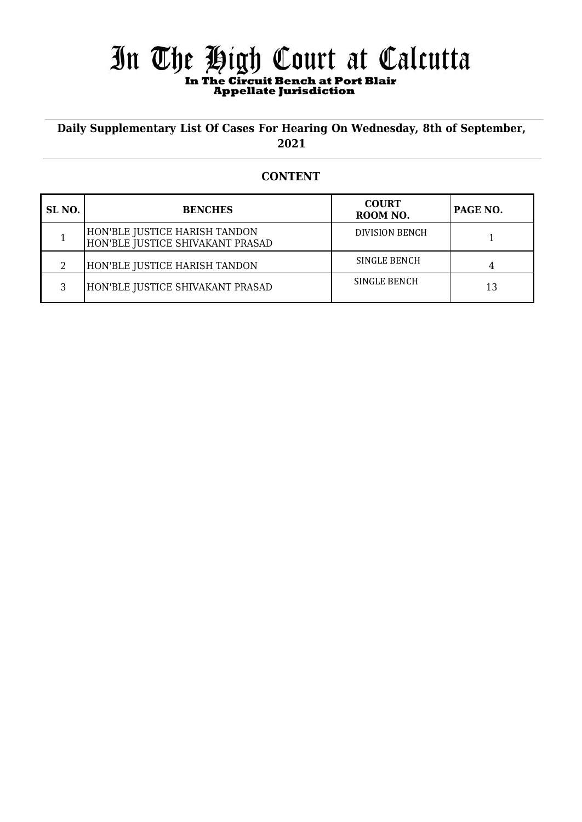# In The High Court at Calcutta  **In The Circuit Bench at Port Blair Appellate Jurisdiction**

## **Daily Supplementary List Of Cases For Hearing On Wednesday, 8th of September, 2021**

### **CONTENT**

| SL <sub>NO</sub> . | <b>BENCHES</b>                                                    | <b>COURT</b><br>ROOM NO. | PAGE NO. |
|--------------------|-------------------------------------------------------------------|--------------------------|----------|
|                    | HON'BLE JUSTICE HARISH TANDON<br>HON'BLE JUSTICE SHIVAKANT PRASAD | <b>DIVISION BENCH</b>    |          |
|                    | HON'BLE JUSTICE HARISH TANDON                                     | SINGLE BENCH             |          |
| 3                  | HON'BLE JUSTICE SHIVAKANT PRASAD                                  | SINGLE BENCH             | 13       |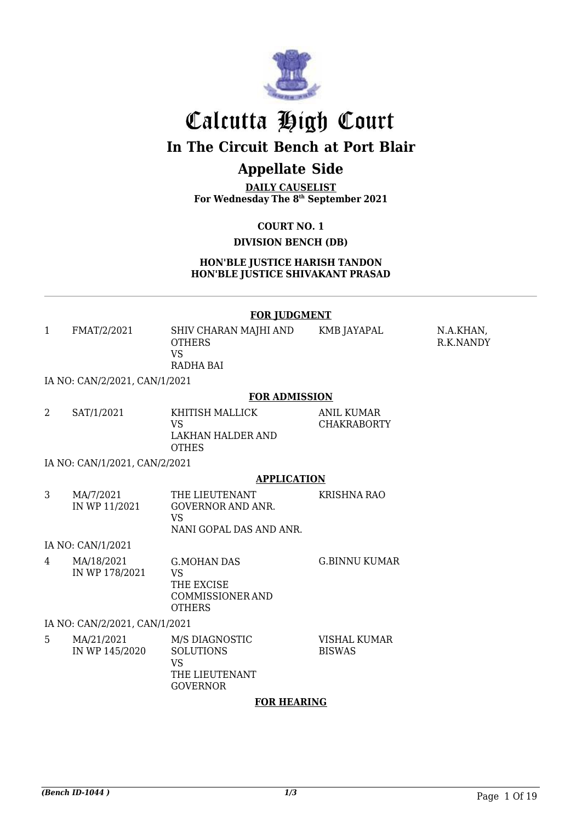

# Calcutta High Court

# **In The Circuit Bench at Port Blair**

# **Appellate Side**

**DAILY CAUSELIST For Wednesday The 8 th September 2021**

**COURT NO. 1**

## **DIVISION BENCH (DB)**

**HON'BLE JUSTICE HARISH TANDON HON'BLE JUSTICE SHIVAKANT PRASAD**

#### **FOR JUDGMENT**

| FMAT/2/2021                | SHIV CHARAN MAJHI AND<br>OTHERS<br>VS<br>RADHA BAI | KMB JAYAPAL | N.A.KHAN,<br>R.K.NANDY |
|----------------------------|----------------------------------------------------|-------------|------------------------|
| -------------------------- |                                                    |             |                        |

IA NO: CAN/2/2021, CAN/1/2021

#### **FOR ADMISSION**

| SAT/1/2021 | KHITISH MALLICK                   | ANIL KUMAR         |
|------------|-----------------------------------|--------------------|
|            | VS                                | <b>CHAKRABORTY</b> |
|            | LAKHAN HALDER AND<br><b>OTHES</b> |                    |
|            |                                   |                    |

IA NO: CAN/1/2021, CAN/2/2021

### **APPLICATION**

| MA/7/2021     | THE LIEUTENANT          | KRISHNA RAO |
|---------------|-------------------------|-------------|
| IN WP 11/2021 | GOVERNOR AND ANR.       |             |
|               | VS.                     |             |
|               | NANI GOPAL DAS AND ANR. |             |

IA NO: CAN/1/2021

| 4 | MA/18/2021<br>IN WP 178/2021 | G.MOHAN DAS<br>VS              | G.BINNU KUMAR |
|---|------------------------------|--------------------------------|---------------|
|   |                              | THE EXCISE<br>COMMISSIONER AND |               |
|   |                              | <b>OTHERS</b>                  |               |

### IA NO: CAN/2/2021, CAN/1/2021

| .5 | MA/21/2021     | M/S DIAGNOSTIC   | VISHAL KUMAR  |
|----|----------------|------------------|---------------|
|    | IN WP 145/2020 | <b>SOLUTIONS</b> | <b>BISWAS</b> |
|    |                | VS               |               |
|    |                | THE LIEUTENANT   |               |
|    |                | <b>GOVERNOR</b>  |               |

#### **FOR HEARING**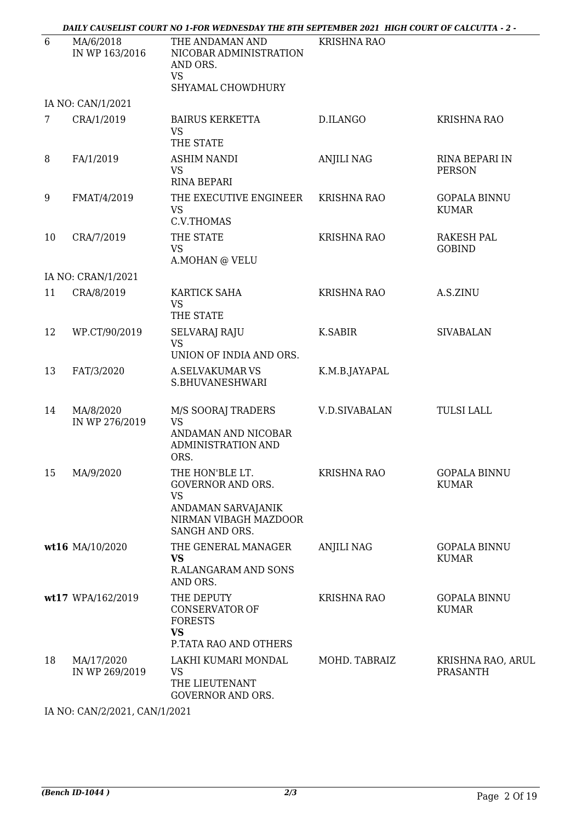|    |                              | - DAILY CAUSELIST COURT NO 1-FOR WEDNESDAY THE 8TH SEPTEMBER 2021  HIGH COURT OF CALCUTTA - 2                             |                      |                                      |
|----|------------------------------|---------------------------------------------------------------------------------------------------------------------------|----------------------|--------------------------------------|
| 6  | MA/6/2018<br>IN WP 163/2016  | THE ANDAMAN AND<br>NICOBAR ADMINISTRATION<br>AND ORS.<br><b>VS</b><br>SHYAMAL CHOWDHURY                                   | <b>KRISHNA RAO</b>   |                                      |
|    | IA NO: CAN/1/2021            |                                                                                                                           |                      |                                      |
| 7  | CRA/1/2019                   | <b>BAIRUS KERKETTA</b><br><b>VS</b><br>THE STATE                                                                          | D.ILANGO             | <b>KRISHNA RAO</b>                   |
| 8  | FA/1/2019                    | <b>ASHIM NANDI</b><br><b>VS</b><br><b>RINA BEPARI</b>                                                                     | <b>ANJILI NAG</b>    | RINA BEPARI IN<br><b>PERSON</b>      |
| 9  | FMAT/4/2019                  | THE EXECUTIVE ENGINEER<br><b>VS</b><br>C.V.THOMAS                                                                         | <b>KRISHNA RAO</b>   | <b>GOPALA BINNU</b><br><b>KUMAR</b>  |
| 10 | CRA/7/2019                   | THE STATE<br><b>VS</b><br>A.MOHAN @ VELU                                                                                  | <b>KRISHNA RAO</b>   | <b>RAKESH PAL</b><br><b>GOBIND</b>   |
|    | IA NO: CRAN/1/2021           |                                                                                                                           |                      |                                      |
| 11 | CRA/8/2019                   | <b>KARTICK SAHA</b><br><b>VS</b><br>THE STATE                                                                             | <b>KRISHNA RAO</b>   | A.S.ZINU                             |
| 12 | WP.CT/90/2019                | <b>SELVARAJ RAJU</b><br><b>VS</b><br>UNION OF INDIA AND ORS.                                                              | K.SABIR              | <b>SIVABALAN</b>                     |
| 13 | FAT/3/2020                   | <b>A.SELVAKUMAR VS</b><br>S.BHUVANESHWARI                                                                                 | K.M.B.JAYAPAL        |                                      |
| 14 | MA/8/2020<br>IN WP 276/2019  | M/S SOORAJ TRADERS<br><b>VS</b><br>ANDAMAN AND NICOBAR<br>ADMINISTRATION AND<br>ORS.                                      | <b>V.D.SIVABALAN</b> | <b>TULSI LALL</b>                    |
| 15 | MA/9/2020                    | THE HON'BLE LT.<br><b>GOVERNOR AND ORS.</b><br><b>VS</b><br>ANDAMAN SARVAJANIK<br>NIRMAN VIBAGH MAZDOOR<br>SANGH AND ORS. | <b>KRISHNA RAO</b>   | <b>GOPALA BINNU</b><br><b>KUMAR</b>  |
|    | wt16 MA/10/2020              | THE GENERAL MANAGER<br><b>VS</b><br>R.ALANGARAM AND SONS<br>AND ORS.                                                      | <b>ANJILI NAG</b>    | <b>GOPALA BINNU</b><br><b>KUMAR</b>  |
|    | wt17 WPA/162/2019            | THE DEPUTY<br><b>CONSERVATOR OF</b><br><b>FORESTS</b><br><b>VS</b><br>P.TATA RAO AND OTHERS                               | <b>KRISHNA RAO</b>   | <b>GOPALA BINNU</b><br><b>KUMAR</b>  |
| 18 | MA/17/2020<br>IN WP 269/2019 | LAKHI KUMARI MONDAL<br><b>VS</b><br>THE LIEUTENANT<br><b>GOVERNOR AND ORS.</b>                                            | MOHD. TABRAIZ        | KRISHNA RAO, ARUL<br><b>PRASANTH</b> |

IA NO: CAN/2/2021, CAN/1/2021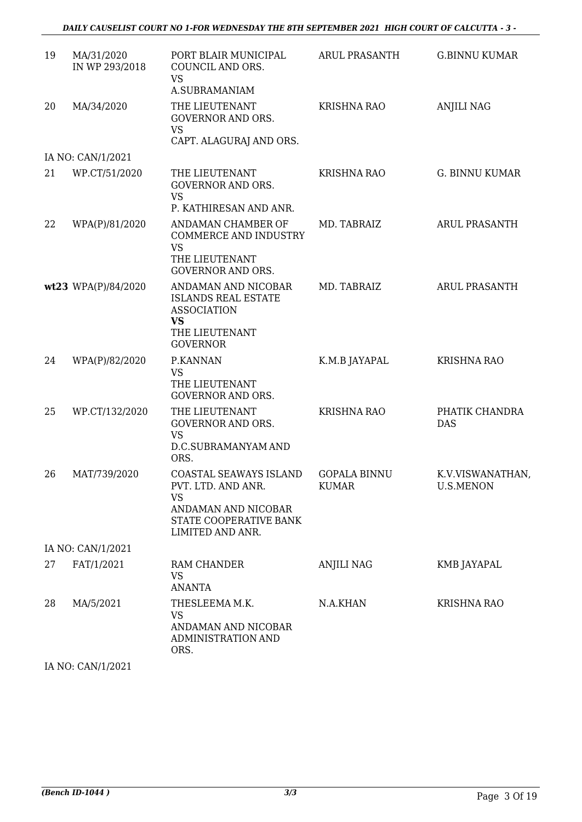*DAILY CAUSELIST COURT NO 1-FOR WEDNESDAY THE 8TH SEPTEMBER 2021 HIGH COURT OF CALCUTTA - 3 -*

| 19 | MA/31/2020<br>IN WP 293/2018 | PORT BLAIR MUNICIPAL<br>COUNCIL AND ORS.<br><b>VS</b><br>A.SUBRAMANIAM                                                         | <b>ARUL PRASANTH</b>                | <b>G.BINNU KUMAR</b>                 |
|----|------------------------------|--------------------------------------------------------------------------------------------------------------------------------|-------------------------------------|--------------------------------------|
| 20 | MA/34/2020                   | THE LIEUTENANT<br><b>GOVERNOR AND ORS.</b><br><b>VS</b><br>CAPT. ALAGURAJ AND ORS.                                             | <b>KRISHNA RAO</b>                  | <b>ANJILI NAG</b>                    |
|    | IA NO: CAN/1/2021            |                                                                                                                                |                                     |                                      |
| 21 | WP.CT/51/2020                | THE LIEUTENANT<br><b>GOVERNOR AND ORS.</b><br><b>VS</b><br>P. KATHIRESAN AND ANR.                                              | <b>KRISHNA RAO</b>                  | <b>G. BINNU KUMAR</b>                |
| 22 | WPA(P)/81/2020               | ANDAMAN CHAMBER OF<br><b>COMMERCE AND INDUSTRY</b><br><b>VS</b>                                                                | MD. TABRAIZ                         | <b>ARUL PRASANTH</b>                 |
|    |                              | THE LIEUTENANT<br><b>GOVERNOR AND ORS.</b>                                                                                     |                                     |                                      |
|    | wt23 WPA(P)/84/2020          | ANDAMAN AND NICOBAR<br><b>ISLANDS REAL ESTATE</b><br><b>ASSOCIATION</b><br>VS<br>THE LIEUTENANT<br><b>GOVERNOR</b>             | MD. TABRAIZ                         | <b>ARUL PRASANTH</b>                 |
| 24 | WPA(P)/82/2020               | P.KANNAN<br><b>VS</b><br>THE LIEUTENANT<br><b>GOVERNOR AND ORS.</b>                                                            | K.M.B JAYAPAL                       | <b>KRISHNA RAO</b>                   |
| 25 | WP.CT/132/2020               | THE LIEUTENANT<br><b>GOVERNOR AND ORS.</b><br><b>VS</b><br>D.C.SUBRAMANYAM AND<br>ORS.                                         | <b>KRISHNA RAO</b>                  | PHATIK CHANDRA<br><b>DAS</b>         |
| 26 | MAT/739/2020                 | COASTAL SEAWAYS ISLAND<br>PVT. LTD. AND ANR.<br><b>VS</b><br>ANDAMAN AND NICOBAR<br>STATE COOPERATIVE BANK<br>LIMITED AND ANR. | <b>GOPALA BINNU</b><br><b>KUMAR</b> | K.V.VISWANATHAN,<br><b>U.S.MENON</b> |
|    | IA NO: CAN/1/2021            |                                                                                                                                |                                     |                                      |
| 27 | FAT/1/2021                   | RAM CHANDER<br><b>VS</b><br><b>ANANTA</b>                                                                                      | <b>ANJILI NAG</b>                   | KMB JAYAPAL                          |
| 28 | MA/5/2021                    | THESLEEMA M.K.<br><b>VS</b><br>ANDAMAN AND NICOBAR<br>ADMINISTRATION AND<br>ORS.                                               | N.A.KHAN                            | <b>KRISHNA RAO</b>                   |

IA NO: CAN/1/2021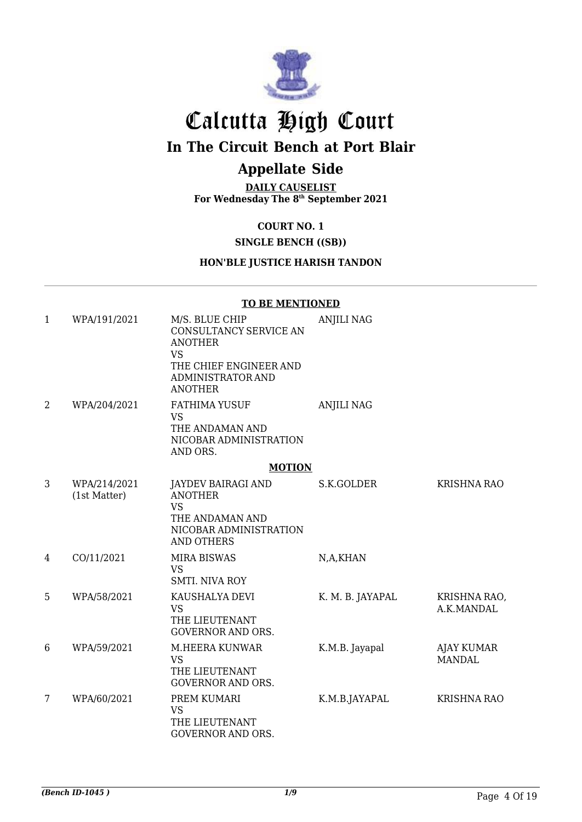

# Calcutta High Court

# **In The Circuit Bench at Port Blair**

# **Appellate Side**

**DAILY CAUSELIST For Wednesday The 8 th September 2021**

## **COURT NO. 1**

## **SINGLE BENCH ((SB))**

## **HON'BLE JUSTICE HARISH TANDON**

#### **TO BE MENTIONED**

| $\mathbf{1}$   | WPA/191/2021                 | M/S. BLUE CHIP<br>CONSULTANCY SERVICE AN<br><b>ANOTHER</b><br><b>VS</b><br>THE CHIEF ENGINEER AND<br>ADMINISTRATOR AND<br><b>ANOTHER</b> | <b>ANJILI NAG</b> |                             |
|----------------|------------------------------|------------------------------------------------------------------------------------------------------------------------------------------|-------------------|-----------------------------|
| $\overline{2}$ | WPA/204/2021                 | <b>FATHIMA YUSUF</b><br><b>VS</b><br>THE ANDAMAN AND<br>NICOBAR ADMINISTRATION<br>AND ORS.                                               | <b>ANJILI NAG</b> |                             |
|                |                              | <b>MOTION</b>                                                                                                                            |                   |                             |
| 3              | WPA/214/2021<br>(1st Matter) | <b>JAYDEV BAIRAGI AND</b><br><b>ANOTHER</b><br><b>VS</b><br>THE ANDAMAN AND<br>NICOBAR ADMINISTRATION<br><b>AND OTHERS</b>               | S.K.GOLDER        | <b>KRISHNA RAO</b>          |
| 4              | CO/11/2021                   | <b>MIRA BISWAS</b><br><b>VS</b><br><b>SMTI. NIVA ROY</b>                                                                                 | N,A,KHAN          |                             |
| 5              | WPA/58/2021                  | KAUSHALYA DEVI<br><b>VS</b><br>THE LIEUTENANT<br><b>GOVERNOR AND ORS.</b>                                                                | K. M. B. JAYAPAL  | KRISHNA RAO,<br>A.K.MANDAL  |
| 6              | WPA/59/2021                  | M.HEERA KUNWAR<br><b>VS</b><br>THE LIEUTENANT<br><b>GOVERNOR AND ORS.</b>                                                                | K.M.B. Jayapal    | AJAY KUMAR<br><b>MANDAL</b> |
| 7              | WPA/60/2021                  | PREM KUMARI<br><b>VS</b><br>THE LIEUTENANT<br>GOVERNOR AND ORS.                                                                          | K.M.B.JAYAPAL     | <b>KRISHNA RAO</b>          |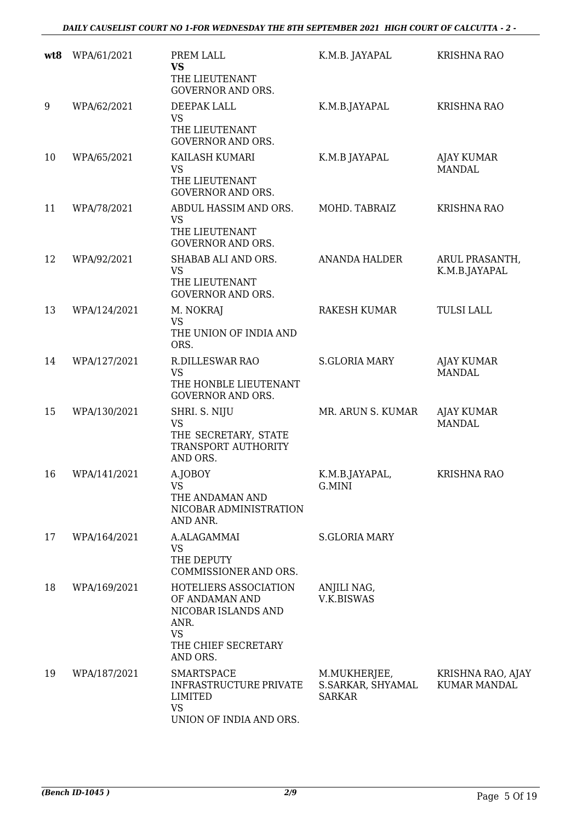| wt8 | WPA/61/2021  | PREM LALL<br><b>VS</b><br>THE LIEUTENANT<br><b>GOVERNOR AND ORS.</b>                                                   | K.M.B. JAYAPAL                                     | <b>KRISHNA RAO</b>                       |
|-----|--------------|------------------------------------------------------------------------------------------------------------------------|----------------------------------------------------|------------------------------------------|
| 9   | WPA/62/2021  | DEEPAK LALL<br><b>VS</b><br>THE LIEUTENANT<br><b>GOVERNOR AND ORS.</b>                                                 | K.M.B.JAYAPAL                                      | <b>KRISHNA RAO</b>                       |
| 10  | WPA/65/2021  | KAILASH KUMARI<br><b>VS</b><br>THE LIEUTENANT<br><b>GOVERNOR AND ORS.</b>                                              | K.M.B JAYAPAL                                      | <b>AJAY KUMAR</b><br><b>MANDAL</b>       |
| 11  | WPA/78/2021  | ABDUL HASSIM AND ORS.<br><b>VS</b><br>THE LIEUTENANT<br><b>GOVERNOR AND ORS.</b>                                       | MOHD. TABRAIZ                                      | <b>KRISHNA RAO</b>                       |
| 12  | WPA/92/2021  | SHABAB ALI AND ORS.<br>VS<br>THE LIEUTENANT<br><b>GOVERNOR AND ORS.</b>                                                | <b>ANANDA HALDER</b>                               | ARUL PRASANTH,<br>K.M.B.JAYAPAL          |
| 13  | WPA/124/2021 | M. NOKRAJ<br><b>VS</b><br>THE UNION OF INDIA AND<br>ORS.                                                               | <b>RAKESH KUMAR</b>                                | <b>TULSI LALL</b>                        |
| 14  | WPA/127/2021 | R.DILLESWAR RAO<br><b>VS</b><br>THE HONBLE LIEUTENANT<br><b>GOVERNOR AND ORS.</b>                                      | <b>S.GLORIA MARY</b>                               | <b>AJAY KUMAR</b><br><b>MANDAL</b>       |
| 15  | WPA/130/2021 | SHRI. S. NIJU<br><b>VS</b><br>THE SECRETARY, STATE<br>TRANSPORT AUTHORITY<br>AND ORS.                                  | MR. ARUN S. KUMAR                                  | <b>AJAY KUMAR</b><br><b>MANDAL</b>       |
| 16  | WPA/141/2021 | A.JOBOY<br>VS<br>THE ANDAMAN AND<br>NICOBAR ADMINISTRATION<br>AND ANR.                                                 | K.M.B.JAYAPAL,<br>G.MINI                           | <b>KRISHNA RAO</b>                       |
| 17  | WPA/164/2021 | A.ALAGAMMAI<br><b>VS</b><br>THE DEPUTY<br>COMMISSIONER AND ORS.                                                        | <b>S.GLORIA MARY</b>                               |                                          |
| 18  | WPA/169/2021 | HOTELIERS ASSOCIATION<br>OF ANDAMAN AND<br>NICOBAR ISLANDS AND<br>ANR.<br><b>VS</b><br>THE CHIEF SECRETARY<br>AND ORS. | ANJILI NAG,<br>V.K.BISWAS                          |                                          |
| 19  | WPA/187/2021 | <b>SMARTSPACE</b><br><b>INFRASTRUCTURE PRIVATE</b><br><b>LIMITED</b><br><b>VS</b><br>UNION OF INDIA AND ORS.           | M.MUKHERJEE,<br>S.SARKAR, SHYAMAL<br><b>SARKAR</b> | KRISHNA RAO, AJAY<br><b>KUMAR MANDAL</b> |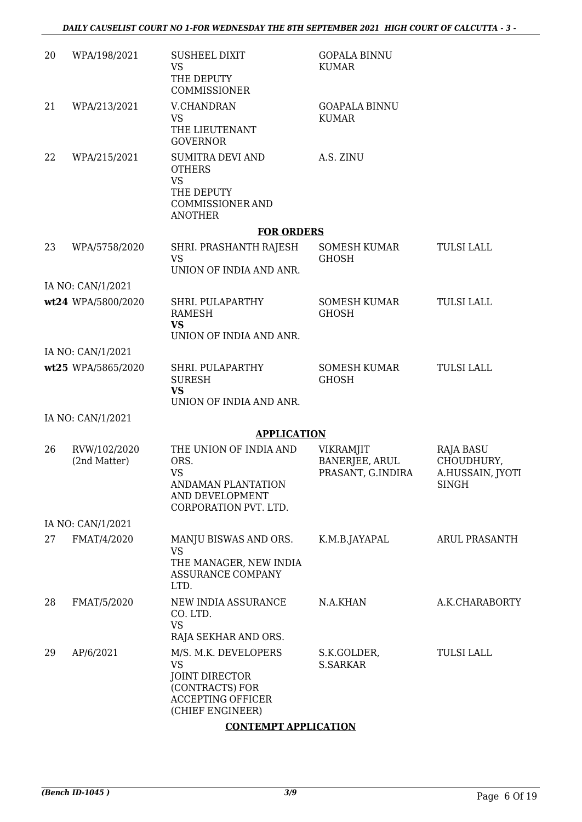| 20 | WPA/198/2021                 | <b>SUSHEEL DIXIT</b><br><b>VS</b><br>THE DEPUTY<br><b>COMMISSIONER</b>                                                        | <b>GOPALA BINNU</b><br><b>KUMAR</b>                     |                                                                    |
|----|------------------------------|-------------------------------------------------------------------------------------------------------------------------------|---------------------------------------------------------|--------------------------------------------------------------------|
| 21 | WPA/213/2021                 | <b>V.CHANDRAN</b><br><b>VS</b><br>THE LIEUTENANT<br><b>GOVERNOR</b>                                                           | <b>GOAPALA BINNU</b><br><b>KUMAR</b>                    |                                                                    |
| 22 | WPA/215/2021                 | <b>SUMITRA DEVI AND</b><br><b>OTHERS</b><br><b>VS</b><br>THE DEPUTY<br><b>COMMISSIONER AND</b><br><b>ANOTHER</b>              | A.S. ZINU                                               |                                                                    |
|    |                              | <b>FOR ORDERS</b>                                                                                                             |                                                         |                                                                    |
| 23 | WPA/5758/2020                | SHRI. PRASHANTH RAJESH<br><b>VS</b><br>UNION OF INDIA AND ANR.                                                                | <b>SOMESH KUMAR</b><br><b>GHOSH</b>                     | <b>TULSI LALL</b>                                                  |
|    | IA NO: CAN/1/2021            |                                                                                                                               |                                                         |                                                                    |
|    | wt24 WPA/5800/2020           | SHRI. PULAPARTHY<br>RAMESH<br><b>VS</b><br>UNION OF INDIA AND ANR.                                                            | <b>SOMESH KUMAR</b><br><b>GHOSH</b>                     | <b>TULSI LALL</b>                                                  |
|    | IA NO: CAN/1/2021            |                                                                                                                               |                                                         |                                                                    |
|    | wt25 WPA/5865/2020           | SHRI. PULAPARTHY<br><b>SURESH</b><br><b>VS</b><br>UNION OF INDIA AND ANR.                                                     | <b>SOMESH KUMAR</b><br><b>GHOSH</b>                     | <b>TULSI LALL</b>                                                  |
|    | IA NO: CAN/1/2021            |                                                                                                                               |                                                         |                                                                    |
|    |                              | <b>APPLICATION</b>                                                                                                            |                                                         |                                                                    |
| 26 | RVW/102/2020<br>(2nd Matter) | THE UNION OF INDIA AND<br>ORS.<br><b>VS</b><br><b>ANDAMAN PLANTATION</b><br>AND DEVELOPMENT<br>CORPORATION PVT. LTD.          | <b>VIKRAMJIT</b><br>BANERJEE, ARUL<br>PRASANT, G.INDIRA | <b>RAJA BASU</b><br>CHOUDHURY,<br>A.HUSSAIN, JYOTI<br><b>SINGH</b> |
|    | IA NO: CAN/1/2021            |                                                                                                                               |                                                         |                                                                    |
| 27 | FMAT/4/2020                  | MANJU BISWAS AND ORS.<br><b>VS</b><br>THE MANAGER, NEW INDIA<br><b>ASSURANCE COMPANY</b><br>LTD.                              | K.M.B.JAYAPAL                                           | ARUL PRASANTH                                                      |
| 28 | FMAT/5/2020                  | NEW INDIA ASSURANCE<br>CO. LTD.<br><b>VS</b><br>RAJA SEKHAR AND ORS.                                                          | N.A.KHAN                                                | A.K.CHARABORTY                                                     |
| 29 | AP/6/2021                    | M/S. M.K. DEVELOPERS<br><b>VS</b><br><b>JOINT DIRECTOR</b><br>(CONTRACTS) FOR<br><b>ACCEPTING OFFICER</b><br>(CHIEF ENGINEER) | S.K.GOLDER,<br><b>S.SARKAR</b>                          | <b>TULSI LALL</b>                                                  |

## **CONTEMPT APPLICATION**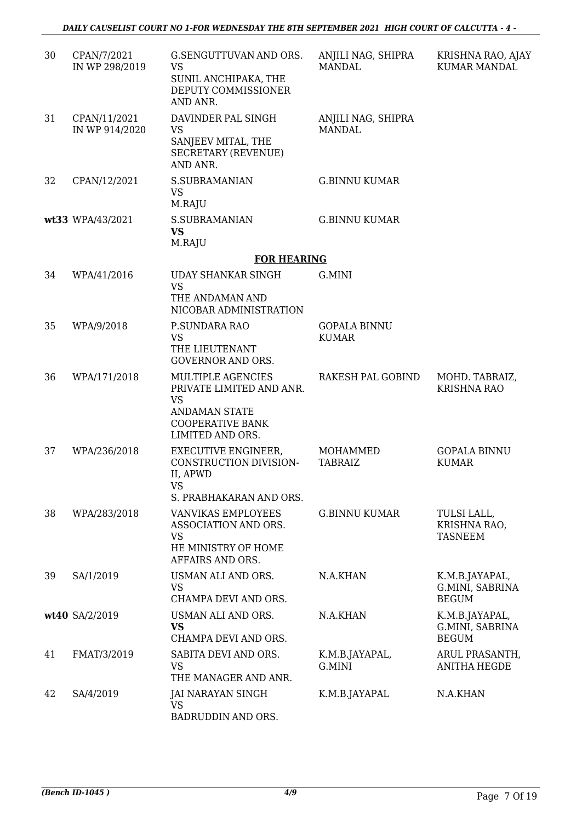| 30 | CPAN/7/2021<br>IN WP 298/2019  | G.SENGUTTUVAN AND ORS.<br><b>VS</b><br>SUNIL ANCHIPAKA, THE<br>DEPUTY COMMISSIONER<br>AND ANR.                                    | ANJILI NAG, SHIPRA<br><b>MANDAL</b> | KRISHNA RAO, AJAY<br><b>KUMAR MANDAL</b>          |
|----|--------------------------------|-----------------------------------------------------------------------------------------------------------------------------------|-------------------------------------|---------------------------------------------------|
| 31 | CPAN/11/2021<br>IN WP 914/2020 | DAVINDER PAL SINGH<br><b>VS</b><br>SANJEEV MITAL, THE<br><b>SECRETARY (REVENUE)</b><br>AND ANR.                                   | ANJILI NAG, SHIPRA<br><b>MANDAL</b> |                                                   |
| 32 | CPAN/12/2021                   | S.SUBRAMANIAN<br><b>VS</b><br>M.RAJU                                                                                              | <b>G.BINNU KUMAR</b>                |                                                   |
|    | wt33 WPA/43/2021               | <b>S.SUBRAMANIAN</b><br><b>VS</b><br>M.RAJU                                                                                       | <b>G.BINNU KUMAR</b>                |                                                   |
|    |                                | <b>FOR HEARING</b>                                                                                                                |                                     |                                                   |
| 34 | WPA/41/2016                    | <b>UDAY SHANKAR SINGH</b><br><b>VS</b><br>THE ANDAMAN AND<br>NICOBAR ADMINISTRATION                                               | G.MINI                              |                                                   |
| 35 | WPA/9/2018                     | P.SUNDARA RAO<br><b>VS</b><br>THE LIEUTENANT<br><b>GOVERNOR AND ORS.</b>                                                          | <b>GOPALA BINNU</b><br><b>KUMAR</b> |                                                   |
| 36 | WPA/171/2018                   | MULTIPLE AGENCIES<br>PRIVATE LIMITED AND ANR.<br><b>VS</b><br><b>ANDAMAN STATE</b><br><b>COOPERATIVE BANK</b><br>LIMITED AND ORS. | RAKESH PAL GOBIND                   | MOHD. TABRAIZ,<br><b>KRISHNA RAO</b>              |
| 37 | WPA/236/2018                   | <b>EXECUTIVE ENGINEER,</b><br>CONSTRUCTION DIVISION-<br>II, APWD<br>VS<br>S. PRABHAKARAN AND ORS.                                 | MOHAMMED<br><b>TABRAIZ</b>          | <b>GOPALA BINNU</b><br><b>KUMAR</b>               |
| 38 | WPA/283/2018                   | <b>VANVIKAS EMPLOYEES</b><br>ASSOCIATION AND ORS.<br><b>VS</b><br>HE MINISTRY OF HOME<br>AFFAIRS AND ORS.                         | <b>G.BINNU KUMAR</b>                | TULSI LALL,<br>KRISHNA RAO,<br><b>TASNEEM</b>     |
| 39 | SA/1/2019                      | USMAN ALI AND ORS.<br><b>VS</b><br>CHAMPA DEVI AND ORS.                                                                           | N.A.KHAN                            | K.M.B.JAYAPAL,<br>G.MINI, SABRINA<br><b>BEGUM</b> |
|    | wt40 SA/2/2019                 | USMAN ALI AND ORS.<br>VS<br>CHAMPA DEVI AND ORS.                                                                                  | N.A.KHAN                            | K.M.B.JAYAPAL,<br>G.MINI, SABRINA<br><b>BEGUM</b> |
| 41 | FMAT/3/2019                    | SABITA DEVI AND ORS.<br><b>VS</b><br>THE MANAGER AND ANR.                                                                         | K.M.B.JAYAPAL,<br>G.MINI            | ARUL PRASANTH,<br><b>ANITHA HEGDE</b>             |
| 42 | SA/4/2019                      | JAI NARAYAN SINGH<br><b>VS</b><br>BADRUDDIN AND ORS.                                                                              | K.M.B.JAYAPAL                       | N.A.KHAN                                          |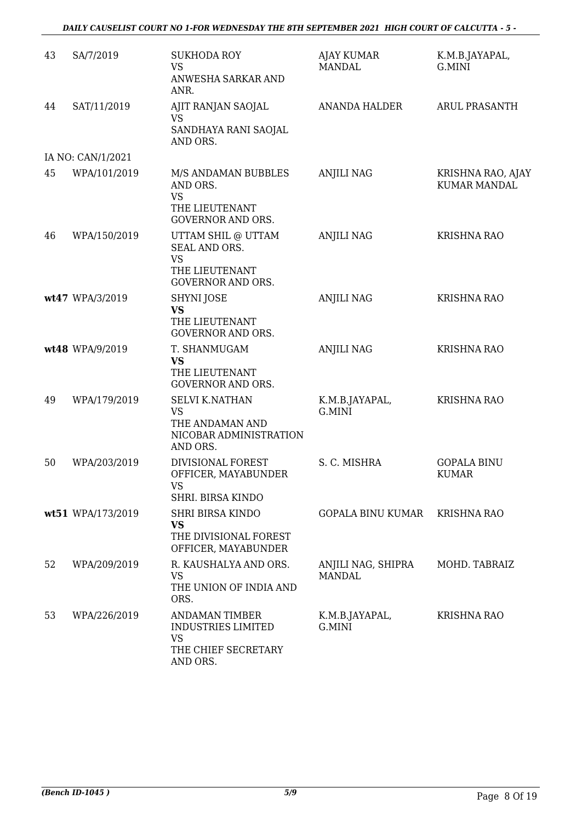### *DAILY CAUSELIST COURT NO 1-FOR WEDNESDAY THE 8TH SEPTEMBER 2021 HIGH COURT OF CALCUTTA - 5 -*

| 43 | SA/7/2019         | <b>SUKHODA ROY</b><br><b>VS</b><br>ANWESHA SARKAR AND<br>ANR.                                      | <b>AJAY KUMAR</b><br><b>MANDAL</b> | K.M.B.JAYAPAL,<br>G.MINI                 |
|----|-------------------|----------------------------------------------------------------------------------------------------|------------------------------------|------------------------------------------|
| 44 | SAT/11/2019       | AJIT RANJAN SAOJAL<br><b>VS</b><br>SANDHAYA RANI SAOJAL<br>AND ORS.                                | <b>ANANDA HALDER</b>               | ARUL PRASANTH                            |
|    | IA NO: CAN/1/2021 |                                                                                                    |                                    |                                          |
| 45 | WPA/101/2019      | M/S ANDAMAN BUBBLES<br>AND ORS.<br><b>VS</b><br>THE LIEUTENANT                                     | <b>ANJILI NAG</b>                  | KRISHNA RAO, AJAY<br><b>KUMAR MANDAL</b> |
|    |                   | <b>GOVERNOR AND ORS.</b>                                                                           |                                    |                                          |
| 46 | WPA/150/2019      | UTTAM SHIL @ UTTAM<br>SEAL AND ORS.<br><b>VS</b><br>THE LIEUTENANT<br><b>GOVERNOR AND ORS.</b>     | <b>ANJILI NAG</b>                  | <b>KRISHNA RAO</b>                       |
|    | wt47 WPA/3/2019   | <b>SHYNI JOSE</b><br><b>VS</b><br>THE LIEUTENANT<br><b>GOVERNOR AND ORS.</b>                       | <b>ANJILI NAG</b>                  | <b>KRISHNA RAO</b>                       |
|    | wt48 WPA/9/2019   | T. SHANMUGAM<br><b>VS</b><br>THE LIEUTENANT<br><b>GOVERNOR AND ORS.</b>                            | <b>ANJILI NAG</b>                  | <b>KRISHNA RAO</b>                       |
| 49 | WPA/179/2019      | <b>SELVI K.NATHAN</b><br><b>VS</b><br>THE ANDAMAN AND<br>NICOBAR ADMINISTRATION<br>AND ORS.        | K.M.B.JAYAPAL,<br>G.MINI           | <b>KRISHNA RAO</b>                       |
| 50 | WPA/203/2019      | DIVISIONAL FOREST<br>OFFICER, MAYABUNDER<br><b>VS</b><br>SHRI. BIRSA KINDO                         | S. C. MISHRA                       | <b>GOPALA BINU</b><br><b>KUMAR</b>       |
|    | wt51 WPA/173/2019 | <b>SHRI BIRSA KINDO</b><br><b>VS</b><br>THE DIVISIONAL FOREST<br>OFFICER, MAYABUNDER               | GOPALA BINU KUMAR                  | <b>KRISHNA RAO</b>                       |
| 52 | WPA/209/2019      | R. KAUSHALYA AND ORS.<br>VS<br>THE UNION OF INDIA AND<br>ORS.                                      | ANJILI NAG, SHIPRA<br>MANDAL       | MOHD. TABRAIZ                            |
| 53 | WPA/226/2019      | <b>ANDAMAN TIMBER</b><br><b>INDUSTRIES LIMITED</b><br><b>VS</b><br>THE CHIEF SECRETARY<br>AND ORS. | K.M.B.JAYAPAL,<br>G.MINI           | <b>KRISHNA RAO</b>                       |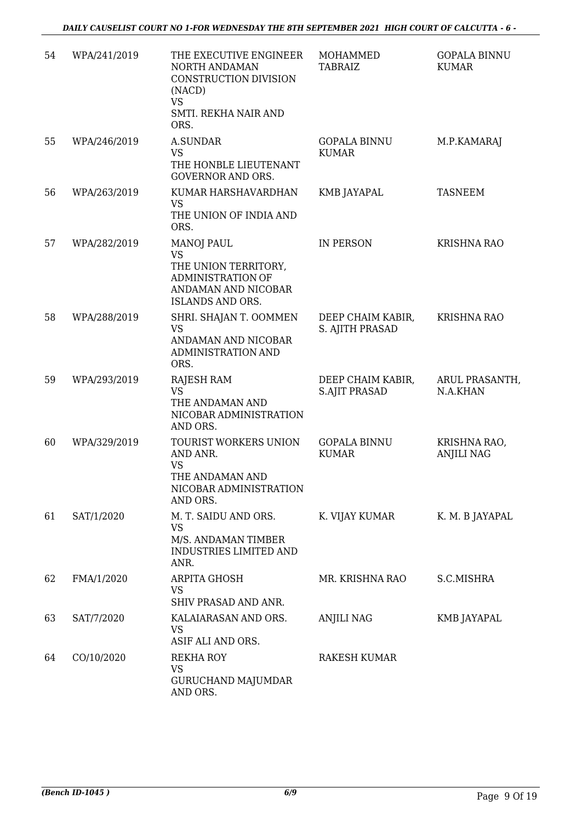*DAILY CAUSELIST COURT NO 1-FOR WEDNESDAY THE 8TH SEPTEMBER 2021 HIGH COURT OF CALCUTTA - 6 -*

| 54 | WPA/241/2019 | THE EXECUTIVE ENGINEER<br>NORTH ANDAMAN<br>CONSTRUCTION DIVISION<br>(NACD)<br><b>VS</b><br>SMTI. REKHA NAIR AND<br>ORS.              | MOHAMMED<br><b>TABRAIZ</b>                | <b>GOPALA BINNU</b><br><b>KUMAR</b> |
|----|--------------|--------------------------------------------------------------------------------------------------------------------------------------|-------------------------------------------|-------------------------------------|
| 55 | WPA/246/2019 | <b>A.SUNDAR</b><br><b>VS</b><br>THE HONBLE LIEUTENANT<br><b>GOVERNOR AND ORS.</b>                                                    | <b>GOPALA BINNU</b><br><b>KUMAR</b>       | M.P.KAMARAJ                         |
| 56 | WPA/263/2019 | KUMAR HARSHAVARDHAN<br><b>VS</b><br>THE UNION OF INDIA AND<br>ORS.                                                                   | KMB JAYAPAL                               | <b>TASNEEM</b>                      |
| 57 | WPA/282/2019 | <b>MANOJ PAUL</b><br><b>VS</b><br>THE UNION TERRITORY,<br><b>ADMINISTRATION OF</b><br>ANDAMAN AND NICOBAR<br><b>ISLANDS AND ORS.</b> | <b>IN PERSON</b>                          | <b>KRISHNA RAO</b>                  |
| 58 | WPA/288/2019 | SHRI. SHAJAN T. OOMMEN<br><b>VS</b><br>ANDAMAN AND NICOBAR<br>ADMINISTRATION AND<br>ORS.                                             | DEEP CHAIM KABIR,<br>S. AJITH PRASAD      | <b>KRISHNA RAO</b>                  |
| 59 | WPA/293/2019 | <b>RAJESH RAM</b><br><b>VS</b><br>THE ANDAMAN AND<br>NICOBAR ADMINISTRATION<br>AND ORS.                                              | DEEP CHAIM KABIR,<br><b>S.AJIT PRASAD</b> | ARUL PRASANTH,<br>N.A.KHAN          |
| 60 | WPA/329/2019 | TOURIST WORKERS UNION<br>AND ANR.<br><b>VS</b><br>THE ANDAMAN AND<br>NICOBAR ADMINISTRATION<br>AND ORS.                              | <b>GOPALA BINNU</b><br><b>KUMAR</b>       | KRISHNA RAO,<br><b>ANJILI NAG</b>   |
| 61 | SAT/1/2020   | M. T. SAIDU AND ORS.<br><b>VS</b><br>M/S. ANDAMAN TIMBER<br><b>INDUSTRIES LIMITED AND</b><br>ANR.                                    | K. VIJAY KUMAR                            | K. M. B JAYAPAL                     |
| 62 | FMA/1/2020   | ARPITA GHOSH<br>VS<br>SHIV PRASAD AND ANR.                                                                                           | MR. KRISHNA RAO                           | S.C.MISHRA                          |
| 63 | SAT/7/2020   | KALAIARASAN AND ORS.<br><b>VS</b><br>ASIF ALI AND ORS.                                                                               | ANJILI NAG                                | KMB JAYAPAL                         |
| 64 | CO/10/2020   | <b>REKHA ROY</b><br><b>VS</b><br><b>GURUCHAND MAJUMDAR</b><br>AND ORS.                                                               | RAKESH KUMAR                              |                                     |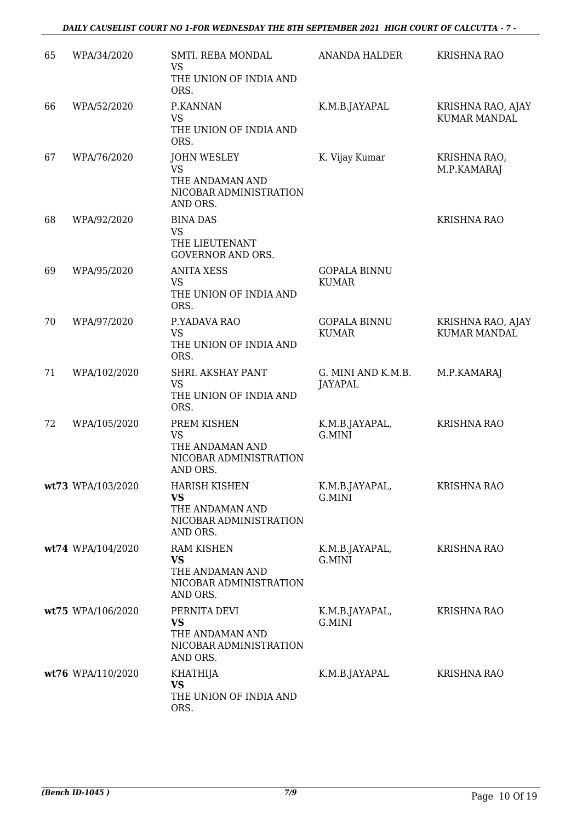| 65 | WPA/34/2020       | SMTI. REBA MONDAL<br><b>VS</b><br>THE UNION OF INDIA AND<br>ORS.                         | <b>ANANDA HALDER</b>                 | <b>KRISHNA RAO</b>                       |
|----|-------------------|------------------------------------------------------------------------------------------|--------------------------------------|------------------------------------------|
| 66 | WPA/52/2020       | P.KANNAN<br><b>VS</b><br>THE UNION OF INDIA AND<br>ORS.                                  | K.M.B.JAYAPAL                        | KRISHNA RAO, AJAY<br><b>KUMAR MANDAL</b> |
| 67 | WPA/76/2020       | <b>JOHN WESLEY</b><br><b>VS</b><br>THE ANDAMAN AND<br>NICOBAR ADMINISTRATION<br>AND ORS. | K. Vijay Kumar                       | KRISHNA RAO,<br>M.P.KAMARAJ              |
| 68 | WPA/92/2020       | <b>BINA DAS</b><br>VS<br>THE LIEUTENANT<br><b>GOVERNOR AND ORS.</b>                      |                                      | <b>KRISHNA RAO</b>                       |
| 69 | WPA/95/2020       | <b>ANITA XESS</b><br><b>VS</b><br>THE UNION OF INDIA AND<br>ORS.                         | <b>GOPALA BINNU</b><br><b>KUMAR</b>  |                                          |
| 70 | WPA/97/2020       | P.YADAVA RAO<br><b>VS</b><br>THE UNION OF INDIA AND<br>ORS.                              | <b>GOPALA BINNU</b><br><b>KUMAR</b>  | KRISHNA RAO, AJAY<br><b>KUMAR MANDAL</b> |
| 71 | WPA/102/2020      | SHRI. AKSHAY PANT<br><b>VS</b><br>THE UNION OF INDIA AND<br>ORS.                         | G. MINI AND K.M.B.<br><b>JAYAPAL</b> | M.P.KAMARAJ                              |
| 72 | WPA/105/2020      | PREM KISHEN<br>VS<br>THE ANDAMAN AND<br>NICOBAR ADMINISTRATION<br>AND ORS.               | K.M.B.JAYAPAL,<br><b>G.MINI</b>      | <b>KRISHNA RAO</b>                       |
|    | wt73 WPA/103/2020 | HARISH KISHEN<br><b>VS</b><br>THE ANDAMAN AND<br>NICOBAR ADMINISTRATION<br>AND ORS.      | K.M.B.JAYAPAL,<br>G.MINI             | <b>KRISHNA RAO</b>                       |
|    | wt74 WPA/104/2020 | <b>RAM KISHEN</b><br><b>VS</b><br>THE ANDAMAN AND<br>NICOBAR ADMINISTRATION<br>AND ORS.  | K.M.B.JAYAPAL,<br>G.MINI             | KRISHNA RAO                              |
|    | wt75 WPA/106/2020 | PERNITA DEVI<br>VS<br>THE ANDAMAN AND<br>NICOBAR ADMINISTRATION<br>AND ORS.              | K.M.B.JAYAPAL,<br>G.MINI             | KRISHNA RAO                              |
|    | wt76 WPA/110/2020 | <b>KHATHIJA</b><br><b>VS</b><br>THE UNION OF INDIA AND<br>ORS.                           | K.M.B.JAYAPAL                        | <b>KRISHNA RAO</b>                       |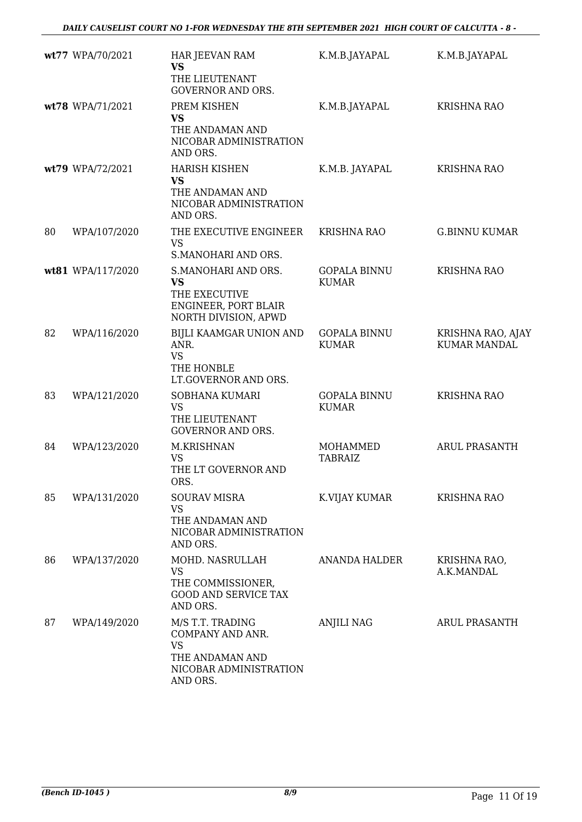|    | wt77 WPA/70/2021  | HAR JEEVAN RAM<br><b>VS</b><br>THE LIEUTENANT<br><b>GOVERNOR AND ORS.</b>                                  | K.M.B.JAYAPAL                       | K.M.B.JAYAPAL                            |
|----|-------------------|------------------------------------------------------------------------------------------------------------|-------------------------------------|------------------------------------------|
|    | wt78 WPA/71/2021  | PREM KISHEN<br><b>VS</b><br>THE ANDAMAN AND<br>NICOBAR ADMINISTRATION<br>AND ORS.                          | K.M.B.JAYAPAL                       | <b>KRISHNA RAO</b>                       |
|    | wt79 WPA/72/2021  | <b>HARISH KISHEN</b><br><b>VS</b><br>THE ANDAMAN AND<br>NICOBAR ADMINISTRATION<br>AND ORS.                 | K.M.B. JAYAPAL                      | KRISHNA RAO                              |
| 80 | WPA/107/2020      | THE EXECUTIVE ENGINEER<br><b>VS</b><br>S.MANOHARI AND ORS.                                                 | <b>KRISHNA RAO</b>                  | <b>G.BINNU KUMAR</b>                     |
|    | wt81 WPA/117/2020 | S.MANOHARI AND ORS.<br>VS<br>THE EXECUTIVE<br>ENGINEER, PORT BLAIR<br>NORTH DIVISION, APWD                 | <b>GOPALA BINNU</b><br><b>KUMAR</b> | <b>KRISHNA RAO</b>                       |
| 82 | WPA/116/2020      | BIJLI KAAMGAR UNION AND<br>ANR.<br><b>VS</b><br>THE HONBLE<br>LT.GOVERNOR AND ORS.                         | <b>GOPALA BINNU</b><br><b>KUMAR</b> | KRISHNA RAO, AJAY<br><b>KUMAR MANDAL</b> |
| 83 | WPA/121/2020      | SOBHANA KUMARI<br><b>VS</b><br>THE LIEUTENANT<br><b>GOVERNOR AND ORS.</b>                                  | <b>GOPALA BINNU</b><br><b>KUMAR</b> | <b>KRISHNA RAO</b>                       |
| 84 | WPA/123/2020      | M.KRISHNAN<br><b>VS</b><br>THE LT GOVERNOR AND<br>ORS.                                                     | MOHAMMED<br><b>TABRAIZ</b>          | <b>ARUL PRASANTH</b>                     |
| 85 | WPA/131/2020      | <b>SOURAV MISRA</b><br><b>VS</b><br>THE ANDAMAN AND<br>NICOBAR ADMINISTRATION<br>AND ORS.                  | K.VIJAY KUMAR                       | <b>KRISHNA RAO</b>                       |
| 86 | WPA/137/2020      | MOHD. NASRULLAH<br><b>VS</b><br>THE COMMISSIONER,<br><b>GOOD AND SERVICE TAX</b><br>AND ORS.               | <b>ANANDA HALDER</b>                | KRISHNA RAO,<br>A.K.MANDAL               |
| 87 | WPA/149/2020      | M/S T.T. TRADING<br>COMPANY AND ANR.<br><b>VS</b><br>THE ANDAMAN AND<br>NICOBAR ADMINISTRATION<br>AND ORS. | <b>ANJILI NAG</b>                   | ARUL PRASANTH                            |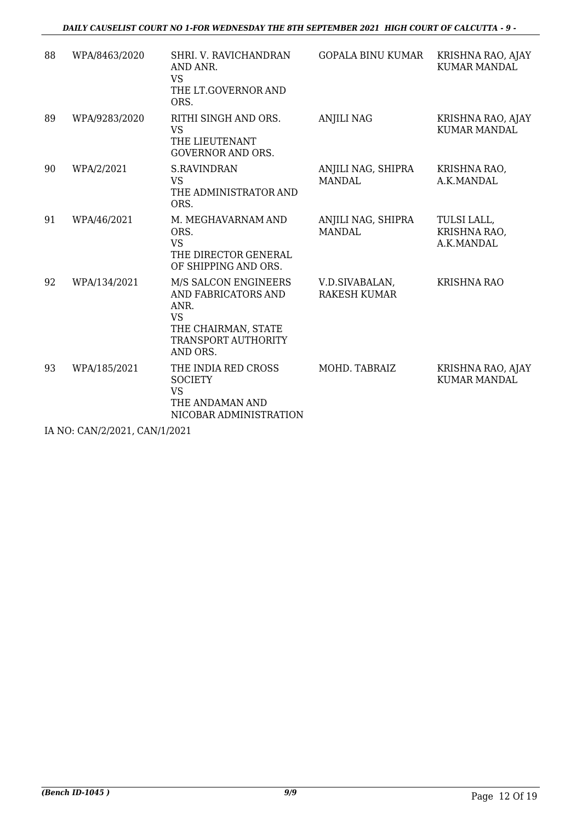### *DAILY CAUSELIST COURT NO 1-FOR WEDNESDAY THE 8TH SEPTEMBER 2021 HIGH COURT OF CALCUTTA - 9 -*

| 88 | WPA/8463/2020 | SHRI. V. RAVICHANDRAN<br>AND ANR.<br><b>VS</b><br>THE LT.GOVERNOR AND<br>ORS.                                              | <b>GOPALA BINU KUMAR</b>              | KRISHNA RAO, AJAY<br><b>KUMAR MANDAL</b>  |
|----|---------------|----------------------------------------------------------------------------------------------------------------------------|---------------------------------------|-------------------------------------------|
| 89 | WPA/9283/2020 | RITHI SINGH AND ORS.<br><b>VS</b><br>THE LIEUTENANT<br><b>GOVERNOR AND ORS.</b>                                            | <b>ANJILI NAG</b>                     | KRISHNA RAO, AJAY<br><b>KUMAR MANDAL</b>  |
| 90 | WPA/2/2021    | <b>S.RAVINDRAN</b><br><b>VS</b><br>THE ADMINISTRATOR AND<br>ORS.                                                           | ANJILI NAG, SHIPRA<br><b>MANDAL</b>   | KRISHNA RAO,<br>A.K.MANDAL                |
| 91 | WPA/46/2021   | M. MEGHAVARNAM AND<br>ORS.<br><b>VS</b><br>THE DIRECTOR GENERAL<br>OF SHIPPING AND ORS.                                    | ANJILI NAG, SHIPRA<br><b>MANDAL</b>   | TULSI LALL,<br>KRISHNA RAO,<br>A.K.MANDAL |
| 92 | WPA/134/2021  | M/S SALCON ENGINEERS<br>AND FABRICATORS AND<br>ANR.<br><b>VS</b><br>THE CHAIRMAN, STATE<br>TRANSPORT AUTHORITY<br>AND ORS. | V.D.SIVABALAN,<br><b>RAKESH KUMAR</b> | <b>KRISHNA RAO</b>                        |
| 93 | WPA/185/2021  | THE INDIA RED CROSS<br><b>SOCIETY</b><br><b>VS</b><br>THE ANDAMAN AND<br>NICOBAR ADMINISTRATION                            | MOHD. TABRAIZ                         | KRISHNA RAO, AJAY<br><b>KUMAR MANDAL</b>  |

IA NO: CAN/2/2021, CAN/1/2021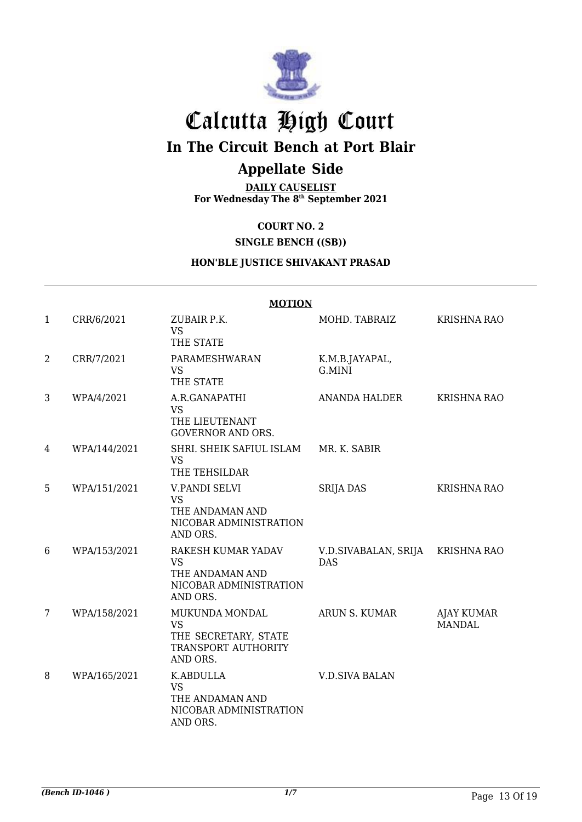

# Calcutta High Court

# **In The Circuit Bench at Port Blair**

# **Appellate Side**

**DAILY CAUSELIST For Wednesday The 8 th September 2021**

## **COURT NO. 2**

**SINGLE BENCH ((SB))**

### **HON'BLE JUSTICE SHIVAKANT PRASAD**

|                |              | <b>MOTION</b>                                                                              |                                    |                             |
|----------------|--------------|--------------------------------------------------------------------------------------------|------------------------------------|-----------------------------|
| $\mathbf{1}$   | CRR/6/2021   | ZUBAIR P.K.<br><b>VS</b><br>THE STATE                                                      | MOHD. TABRAIZ                      | <b>KRISHNA RAO</b>          |
| $\overline{2}$ | CRR/7/2021   | PARAMESHWARAN<br><b>VS</b><br>THE STATE                                                    | K.M.B.JAYAPAL,<br>G.MINI           |                             |
| 3              | WPA/4/2021   | A.R.GANAPATHI<br><b>VS</b><br>THE LIEUTENANT<br><b>GOVERNOR AND ORS.</b>                   | ANANDA HALDER                      | <b>KRISHNA RAO</b>          |
| 4              | WPA/144/2021 | SHRI. SHEIK SAFIUL ISLAM<br><b>VS</b><br>THE TEHSILDAR                                     | MR. K. SABIR                       |                             |
| 5              | WPA/151/2021 | <b>V.PANDI SELVI</b><br><b>VS</b><br>THE ANDAMAN AND<br>NICOBAR ADMINISTRATION<br>AND ORS. | <b>SRIJA DAS</b>                   | <b>KRISHNA RAO</b>          |
| 6              | WPA/153/2021 | RAKESH KUMAR YADAV<br><b>VS</b><br>THE ANDAMAN AND<br>NICOBAR ADMINISTRATION<br>AND ORS.   | V.D.SIVABALAN, SRIJA<br><b>DAS</b> | <b>KRISHNA RAO</b>          |
| 7              | WPA/158/2021 | MUKUNDA MONDAL<br><b>VS</b><br>THE SECRETARY, STATE<br>TRANSPORT AUTHORITY<br>AND ORS.     | ARUN S. KUMAR                      | AJAY KUMAR<br><b>MANDAL</b> |
| 8              | WPA/165/2021 | K.ABDULLA<br><b>VS</b><br>THE ANDAMAN AND<br>NICOBAR ADMINISTRATION<br>AND ORS.            | <b>V.D.SIVA BALAN</b>              |                             |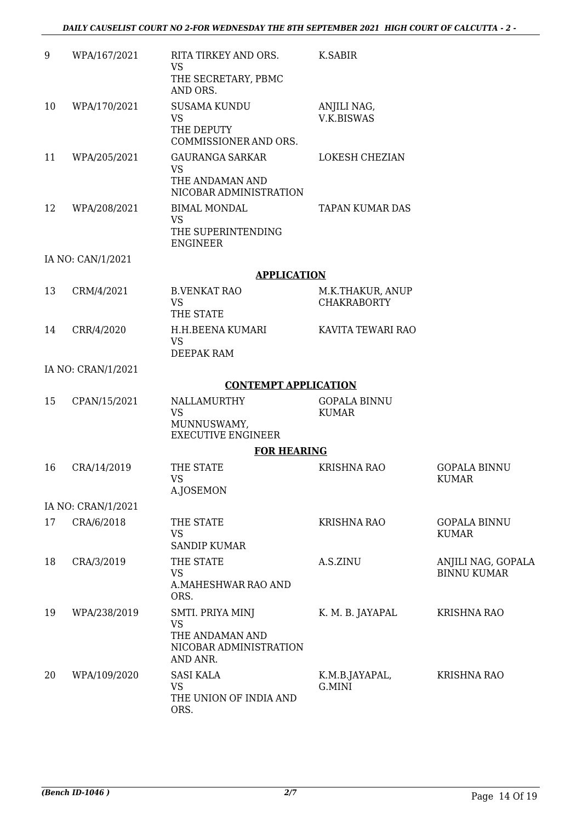| 9  | WPA/167/2021       | RITA TIRKEY AND ORS.<br><b>VS</b><br>THE SECRETARY, PBMC<br>AND ORS.                   | K.SABIR                                |                                          |
|----|--------------------|----------------------------------------------------------------------------------------|----------------------------------------|------------------------------------------|
| 10 | WPA/170/2021       | <b>SUSAMA KUNDU</b><br><b>VS</b><br>THE DEPUTY<br>COMMISSIONER AND ORS.                | ANJILI NAG,<br><b>V.K.BISWAS</b>       |                                          |
| 11 | WPA/205/2021       | <b>GAURANGA SARKAR</b><br><b>VS</b><br>THE ANDAMAN AND<br>NICOBAR ADMINISTRATION       | LOKESH CHEZIAN                         |                                          |
| 12 | WPA/208/2021       | <b>BIMAL MONDAL</b><br><b>VS</b><br>THE SUPERINTENDING<br><b>ENGINEER</b>              | <b>TAPAN KUMAR DAS</b>                 |                                          |
|    | IA NO: CAN/1/2021  |                                                                                        |                                        |                                          |
|    |                    | <b>APPLICATION</b>                                                                     |                                        |                                          |
| 13 | CRM/4/2021         | <b>B.VENKAT RAO</b><br><b>VS</b><br>THE STATE                                          | M.K.THAKUR, ANUP<br><b>CHAKRABORTY</b> |                                          |
| 14 | CRR/4/2020         | H.H.BEENA KUMARI<br><b>VS</b><br>DEEPAK RAM                                            | KAVITA TEWARI RAO                      |                                          |
|    | IA NO: CRAN/1/2021 |                                                                                        |                                        |                                          |
|    |                    | <b>CONTEMPT APPLICATION</b>                                                            |                                        |                                          |
| 15 | CPAN/15/2021       | NALLAMURTHY<br><b>VS</b><br>MUNNUSWAMY,<br><b>EXECUTIVE ENGINEER</b>                   | <b>GOPALA BINNU</b><br><b>KUMAR</b>    |                                          |
|    |                    | <b>FOR HEARING</b>                                                                     |                                        |                                          |
| 16 | CRA/14/2019        | THE STATE<br><b>VS</b><br>A.JOSEMON                                                    | <b>KRISHNA RAO</b>                     | <b>GOPALA BINNU</b><br><b>KUMAR</b>      |
|    | IA NO: CRAN/1/2021 |                                                                                        |                                        |                                          |
| 17 | CRA/6/2018         | THE STATE<br><b>VS</b><br><b>SANDIP KUMAR</b>                                          | <b>KRISHNA RAO</b>                     | <b>GOPALA BINNU</b><br><b>KUMAR</b>      |
| 18 | CRA/3/2019         | THE STATE<br><b>VS</b><br>A.MAHESHWAR RAO AND<br>ORS.                                  | A.S.ZINU                               | ANJILI NAG, GOPALA<br><b>BINNU KUMAR</b> |
| 19 | WPA/238/2019       | SMTI. PRIYA MINJ<br><b>VS</b><br>THE ANDAMAN AND<br>NICOBAR ADMINISTRATION<br>AND ANR. | K. M. B. JAYAPAL                       | <b>KRISHNA RAO</b>                       |
| 20 | WPA/109/2020       | <b>SASI KALA</b><br><b>VS</b><br>THE UNION OF INDIA AND<br>ORS.                        | K.M.B.JAYAPAL,<br>G.MINI               | <b>KRISHNA RAO</b>                       |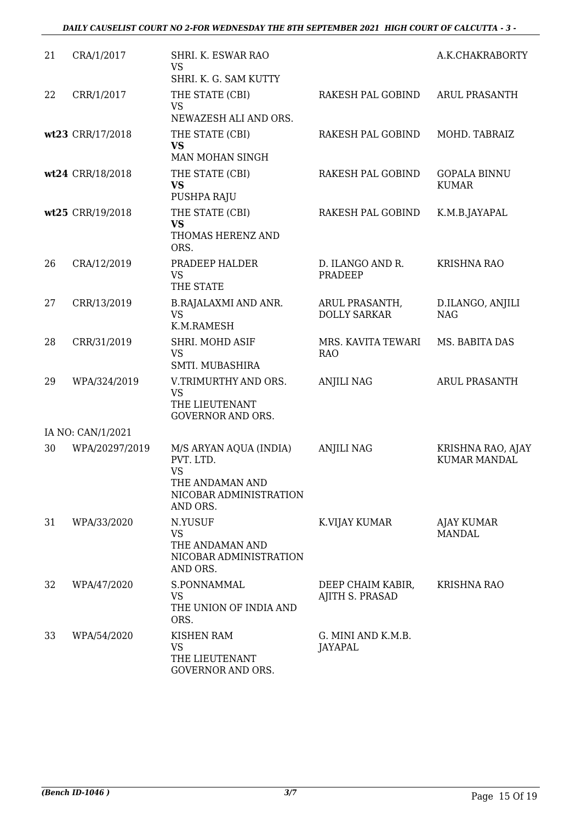#### *DAILY CAUSELIST COURT NO 2-FOR WEDNESDAY THE 8TH SEPTEMBER 2021 HIGH COURT OF CALCUTTA - 3 -*

| 21 | CRA/1/2017        | SHRI. K. ESWAR RAO<br><b>VS</b>                                                                           |                                             | A.K.CHAKRABORTY                          |
|----|-------------------|-----------------------------------------------------------------------------------------------------------|---------------------------------------------|------------------------------------------|
|    |                   | SHRI, K. G. SAM KUTTY                                                                                     |                                             |                                          |
| 22 | CRR/1/2017        | THE STATE (CBI)<br><b>VS</b>                                                                              | RAKESH PAL GOBIND                           | <b>ARUL PRASANTH</b>                     |
|    |                   | NEWAZESH ALI AND ORS.                                                                                     |                                             |                                          |
|    | wt23 CRR/17/2018  | THE STATE (CBI)<br><b>VS</b>                                                                              | RAKESH PAL GOBIND                           | MOHD. TABRAIZ                            |
|    |                   | <b>MAN MOHAN SINGH</b>                                                                                    |                                             |                                          |
|    | wt24 CRR/18/2018  | THE STATE (CBI)<br><b>VS</b><br>PUSHPA RAJU                                                               | RAKESH PAL GOBIND                           | <b>GOPALA BINNU</b><br><b>KUMAR</b>      |
|    |                   |                                                                                                           |                                             |                                          |
|    | wt25 CRR/19/2018  | THE STATE (CBI)<br><b>VS</b><br>THOMAS HERENZ AND<br>ORS.                                                 | RAKESH PAL GOBIND                           | K.M.B.JAYAPAL                            |
| 26 | CRA/12/2019       | PRADEEP HALDER<br><b>VS</b><br>THE STATE                                                                  | D. ILANGO AND R.<br><b>PRADEEP</b>          | <b>KRISHNA RAO</b>                       |
| 27 | CRR/13/2019       | <b>B.RAJALAXMI AND ANR.</b><br><b>VS</b><br>K.M.RAMESH                                                    | ARUL PRASANTH,<br><b>DOLLY SARKAR</b>       | D.ILANGO, ANJILI<br><b>NAG</b>           |
| 28 | CRR/31/2019       | SHRI. MOHD ASIF<br><b>VS</b><br>SMTI. MUBASHIRA                                                           | MRS. KAVITA TEWARI<br><b>RAO</b>            | MS. BABITA DAS                           |
| 29 | WPA/324/2019      | V.TRIMURTHY AND ORS.<br><b>VS</b><br>THE LIEUTENANT<br><b>GOVERNOR AND ORS.</b>                           | <b>ANJILI NAG</b>                           | <b>ARUL PRASANTH</b>                     |
|    | IA NO: CAN/1/2021 |                                                                                                           |                                             |                                          |
| 30 | WPA/20297/2019    | M/S ARYAN AQUA (INDIA)<br>PVT. LTD.<br><b>VS</b><br>THE ANDAMAN AND<br>NICOBAR ADMINISTRATION<br>AND ORS. | <b>ANJILI NAG</b>                           | KRISHNA RAO, AJAY<br><b>KUMAR MANDAL</b> |
| 31 | WPA/33/2020       | N.YUSUF<br><b>VS</b><br>THE ANDAMAN AND<br>NICOBAR ADMINISTRATION<br>AND ORS.                             | K.VIJAY KUMAR                               | AJAY KUMAR<br><b>MANDAL</b>              |
| 32 | WPA/47/2020       | S.PONNAMMAL<br><b>VS</b><br>THE UNION OF INDIA AND<br>ORS.                                                | DEEP CHAIM KABIR,<br><b>AJITH S. PRASAD</b> | KRISHNA RAO                              |
| 33 | WPA/54/2020       | <b>KISHEN RAM</b><br><b>VS</b><br>THE LIEUTENANT<br>GOVERNOR AND ORS.                                     | G. MINI AND K.M.B.<br>JAYAPAL               |                                          |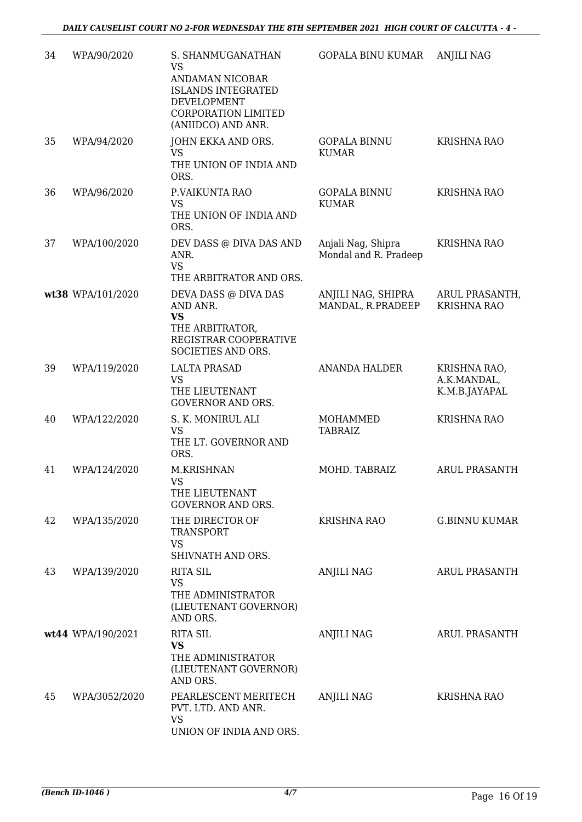| 34 | WPA/90/2020       | S. SHANMUGANATHAN<br><b>VS</b><br>ANDAMAN NICOBAR<br><b>ISLANDS INTEGRATED</b><br>DEVELOPMENT<br><b>CORPORATION LIMITED</b><br>(ANIIDCO) AND ANR. | <b>GOPALA BINU KUMAR</b>                    | <b>ANJILI NAG</b>                            |
|----|-------------------|---------------------------------------------------------------------------------------------------------------------------------------------------|---------------------------------------------|----------------------------------------------|
| 35 | WPA/94/2020       | JOHN EKKA AND ORS.<br><b>VS</b><br>THE UNION OF INDIA AND<br>ORS.                                                                                 | <b>GOPALA BINNU</b><br><b>KUMAR</b>         | <b>KRISHNA RAO</b>                           |
| 36 | WPA/96/2020       | P.VAIKUNTA RAO<br><b>VS</b><br>THE UNION OF INDIA AND                                                                                             | <b>GOPALA BINNU</b><br><b>KUMAR</b>         | <b>KRISHNA RAO</b>                           |
| 37 | WPA/100/2020      | ORS.<br>DEV DASS @ DIVA DAS AND<br>ANR.<br><b>VS</b><br>THE ARBITRATOR AND ORS.                                                                   | Anjali Nag, Shipra<br>Mondal and R. Pradeep | <b>KRISHNA RAO</b>                           |
|    | wt38 WPA/101/2020 | DEVA DASS @ DIVA DAS<br>AND ANR.<br><b>VS</b><br>THE ARBITRATOR,<br>REGISTRAR COOPERATIVE<br>SOCIETIES AND ORS.                                   | ANJILI NAG, SHIPRA<br>MANDAL, R.PRADEEP     | ARUL PRASANTH,<br><b>KRISHNA RAO</b>         |
| 39 | WPA/119/2020      | <b>LALTA PRASAD</b><br><b>VS</b><br>THE LIEUTENANT<br><b>GOVERNOR AND ORS.</b>                                                                    | <b>ANANDA HALDER</b>                        | KRISHNA RAO,<br>A.K.MANDAL,<br>K.M.B.JAYAPAL |
| 40 | WPA/122/2020      | S. K. MONIRUL ALI<br><b>VS</b><br>THE LT. GOVERNOR AND<br>ORS.                                                                                    | MOHAMMED<br><b>TABRAIZ</b>                  | <b>KRISHNA RAO</b>                           |
| 41 | WPA/124/2020      | M.KRISHNAN<br><b>VS</b><br>THE LIEUTENANT<br><b>GOVERNOR AND ORS.</b>                                                                             | MOHD. TABRAIZ                               | <b>ARUL PRASANTH</b>                         |
| 42 | WPA/135/2020      | THE DIRECTOR OF<br><b>TRANSPORT</b><br><b>VS</b><br>SHIVNATH AND ORS.                                                                             | KRISHNA RAO                                 | <b>G.BINNU KUMAR</b>                         |
| 43 | WPA/139/2020      | <b>RITA SIL</b><br><b>VS</b><br>THE ADMINISTRATOR<br>(LIEUTENANT GOVERNOR)<br>AND ORS.                                                            | <b>ANJILI NAG</b>                           | <b>ARUL PRASANTH</b>                         |
|    | wt44 WPA/190/2021 | <b>RITA SIL</b><br><b>VS</b><br>THE ADMINISTRATOR<br>(LIEUTENANT GOVERNOR)<br>AND ORS.                                                            | ANJILI NAG                                  | ARUL PRASANTH                                |
| 45 | WPA/3052/2020     | PEARLESCENT MERITECH<br>PVT. LTD. AND ANR.<br><b>VS</b><br>UNION OF INDIA AND ORS.                                                                | <b>ANJILI NAG</b>                           | <b>KRISHNA RAO</b>                           |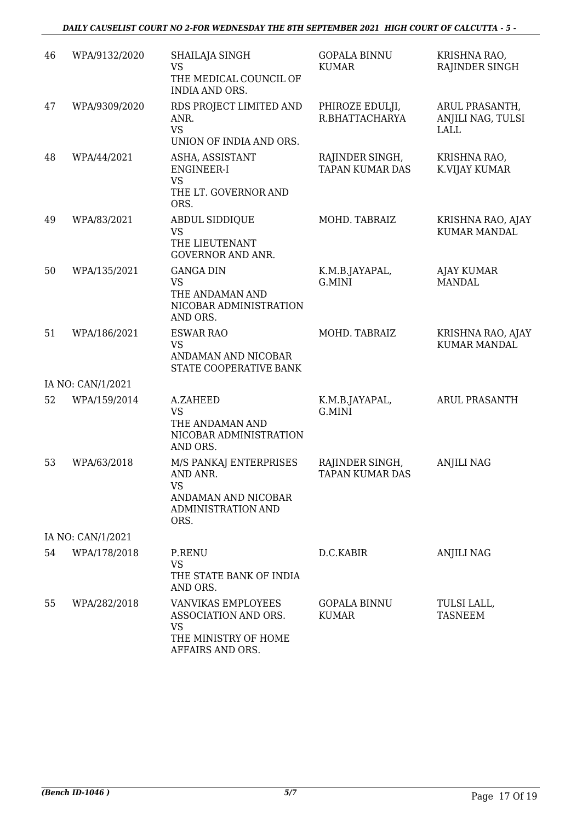| 46 | WPA/9132/2020     | SHAILAJA SINGH<br><b>VS</b><br>THE MEDICAL COUNCIL OF<br><b>INDIA AND ORS.</b>                              | <b>GOPALA BINNU</b><br><b>KUMAR</b>       | KRISHNA RAO,<br>RAJINDER SINGH              |
|----|-------------------|-------------------------------------------------------------------------------------------------------------|-------------------------------------------|---------------------------------------------|
| 47 | WPA/9309/2020     | RDS PROJECT LIMITED AND<br>ANR.<br><b>VS</b>                                                                | PHIROZE EDULJI,<br>R.BHATTACHARYA         | ARUL PRASANTH,<br>ANJILI NAG, TULSI<br>LALL |
|    |                   | UNION OF INDIA AND ORS.                                                                                     |                                           |                                             |
| 48 | WPA/44/2021       | ASHA, ASSISTANT<br>ENGINEER-I<br><b>VS</b><br>THE LT. GOVERNOR AND                                          | RAJINDER SINGH,<br><b>TAPAN KUMAR DAS</b> | KRISHNA RAO,<br>K.VIJAY KUMAR               |
| 49 | WPA/83/2021       | ORS.<br><b>ABDUL SIDDIQUE</b>                                                                               | MOHD. TABRAIZ                             | KRISHNA RAO, AJAY                           |
|    |                   | <b>VS</b><br>THE LIEUTENANT<br><b>GOVERNOR AND ANR.</b>                                                     |                                           | <b>KUMAR MANDAL</b>                         |
| 50 | WPA/135/2021      | <b>GANGA DIN</b><br><b>VS</b><br>THE ANDAMAN AND<br>NICOBAR ADMINISTRATION<br>AND ORS.                      | K.M.B.JAYAPAL,<br>G.MINI                  | <b>AJAY KUMAR</b><br><b>MANDAL</b>          |
| 51 | WPA/186/2021      | <b>ESWAR RAO</b><br><b>VS</b><br>ANDAMAN AND NICOBAR<br>STATE COOPERATIVE BANK                              | MOHD. TABRAIZ                             | KRISHNA RAO, AJAY<br><b>KUMAR MANDAL</b>    |
|    | IA NO: CAN/1/2021 |                                                                                                             |                                           |                                             |
| 52 | WPA/159/2014      | A.ZAHEED<br><b>VS</b><br>THE ANDAMAN AND<br>NICOBAR ADMINISTRATION<br>AND ORS.                              | K.M.B.JAYAPAL,<br>G.MINI                  | ARUL PRASANTH                               |
| 53 | WPA/63/2018       | M/S PANKAJ ENTERPRISES<br>AND ANR.<br><b>VS</b><br>ANDAMAN AND NICOBAR<br><b>ADMINISTRATION AND</b><br>ORS. | RAJINDER SINGH,<br><b>TAPAN KUMAR DAS</b> | <b>ANJILI NAG</b>                           |
|    | IA NO: CAN/1/2021 |                                                                                                             |                                           |                                             |
| 54 | WPA/178/2018      | P.RENU<br><b>VS</b><br>THE STATE BANK OF INDIA<br>AND ORS.                                                  | D.C.KABIR                                 | <b>ANJILI NAG</b>                           |
| 55 | WPA/282/2018      | VANVIKAS EMPLOYEES<br>ASSOCIATION AND ORS.<br><b>VS</b><br>THE MINISTRY OF HOME<br>AFFAIRS AND ORS.         | <b>GOPALA BINNU</b><br><b>KUMAR</b>       | TULSI LALL,<br><b>TASNEEM</b>               |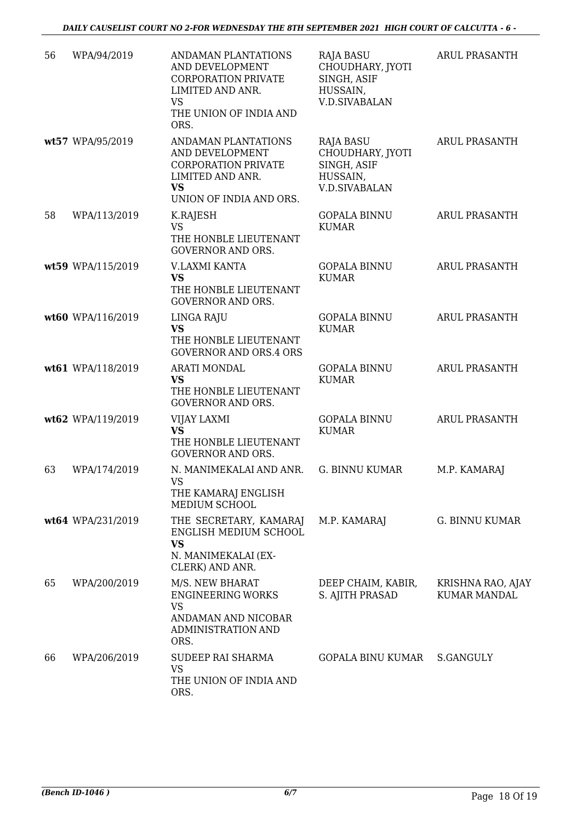| 56 | WPA/94/2019       | ANDAMAN PLANTATIONS<br>AND DEVELOPMENT<br><b>CORPORATION PRIVATE</b><br>LIMITED AND ANR.<br><b>VS</b><br>THE UNION OF INDIA AND<br>ORS. | <b>RAJA BASU</b><br>CHOUDHARY, JYOTI<br>SINGH, ASIF<br>HUSSAIN,<br><b>V.D.SIVABALAN</b> | <b>ARUL PRASANTH</b>                     |
|----|-------------------|-----------------------------------------------------------------------------------------------------------------------------------------|-----------------------------------------------------------------------------------------|------------------------------------------|
|    | wt57 WPA/95/2019  | ANDAMAN PLANTATIONS<br>AND DEVELOPMENT<br><b>CORPORATION PRIVATE</b><br>LIMITED AND ANR.<br><b>VS</b><br>UNION OF INDIA AND ORS.        | <b>RAJA BASU</b><br>CHOUDHARY, JYOTI<br>SINGH, ASIF<br>HUSSAIN,<br><b>V.D.SIVABALAN</b> | <b>ARUL PRASANTH</b>                     |
| 58 | WPA/113/2019      | K.RAJESH<br><b>VS</b><br>THE HONBLE LIEUTENANT<br><b>GOVERNOR AND ORS.</b>                                                              | <b>GOPALA BINNU</b><br><b>KUMAR</b>                                                     | <b>ARUL PRASANTH</b>                     |
|    | wt59 WPA/115/2019 | V.LAXMI KANTA<br><b>VS</b><br>THE HONBLE LIEUTENANT<br><b>GOVERNOR AND ORS.</b>                                                         | <b>GOPALA BINNU</b><br><b>KUMAR</b>                                                     | <b>ARUL PRASANTH</b>                     |
|    | wt60 WPA/116/2019 | LINGA RAJU<br><b>VS</b><br>THE HONBLE LIEUTENANT<br><b>GOVERNOR AND ORS.4 ORS</b>                                                       | <b>GOPALA BINNU</b><br><b>KUMAR</b>                                                     | <b>ARUL PRASANTH</b>                     |
|    | wt61 WPA/118/2019 | <b>ARATI MONDAL</b><br><b>VS</b><br>THE HONBLE LIEUTENANT<br><b>GOVERNOR AND ORS.</b>                                                   | <b>GOPALA BINNU</b><br><b>KUMAR</b>                                                     | <b>ARUL PRASANTH</b>                     |
|    | wt62 WPA/119/2019 | VIJAY LAXMI<br><b>VS</b><br>THE HONBLE LIEUTENANT<br><b>GOVERNOR AND ORS.</b>                                                           | <b>GOPALA BINNU</b><br><b>KUMAR</b>                                                     | <b>ARUL PRASANTH</b>                     |
| 63 | WPA/174/2019      | N. MANIMEKALAI AND ANR.<br><b>VS</b><br>THE KAMARAJ ENGLISH<br>MEDIUM SCHOOL                                                            | <b>G. BINNU KUMAR</b>                                                                   | M.P. KAMARAJ                             |
|    | wt64 WPA/231/2019 | THE SECRETARY, KAMARAJ<br>ENGLISH MEDIUM SCHOOL<br><b>VS</b><br>N. MANIMEKALAI (EX-<br>CLERK) AND ANR.                                  | M.P. KAMARAJ                                                                            | G. BINNU KUMAR                           |
| 65 | WPA/200/2019      | M/S. NEW BHARAT<br><b>ENGINEERING WORKS</b><br><b>VS</b><br>ANDAMAN AND NICOBAR<br><b>ADMINISTRATION AND</b><br>ORS.                    | DEEP CHAIM, KABIR,<br>S. AJITH PRASAD                                                   | KRISHNA RAO, AJAY<br><b>KUMAR MANDAL</b> |
| 66 | WPA/206/2019      | <b>SUDEEP RAI SHARMA</b><br><b>VS</b><br>THE UNION OF INDIA AND<br>ORS.                                                                 | GOPALA BINU KUMAR                                                                       | S.GANGULY                                |